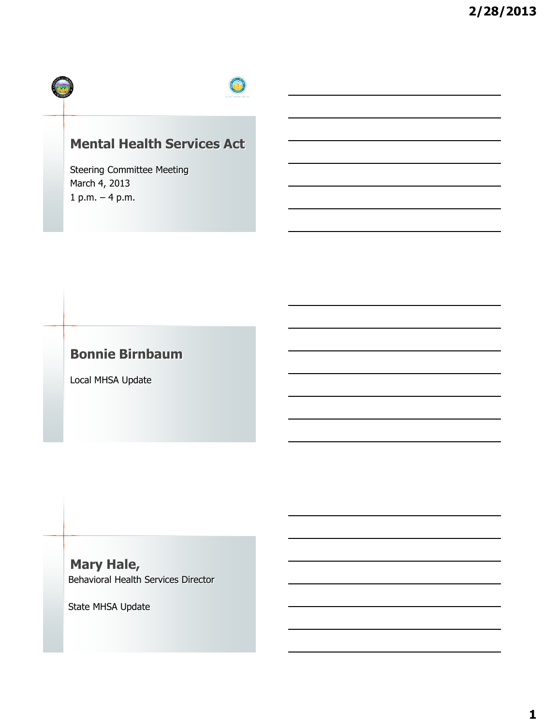

# **Mental Health Services Act**

Steering Committee Meeting March 4, 2013 1 p.m. – 4 p.m.

# **Bonnie Birnbaum**

Local MHSA Update

**Mary Hale,**  Behavioral Health Services Director

State MHSA Update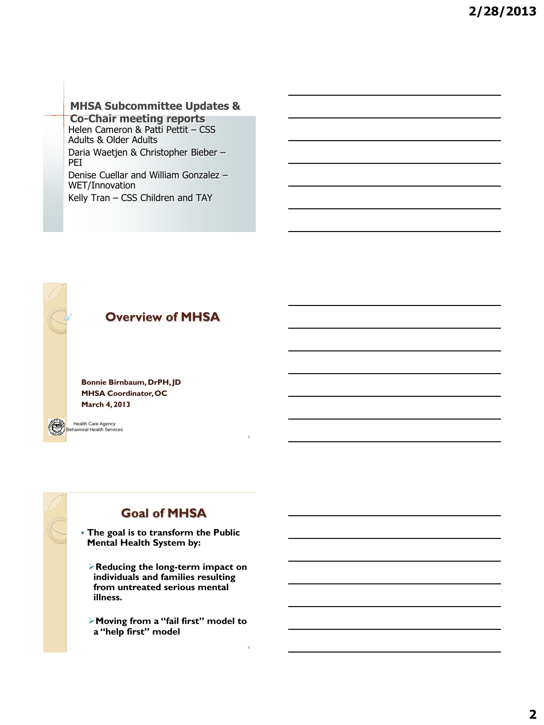### **MHSA Subcommittee Updates &**

**Co-Chair meeting reports** Helen Cameron & Patti Pettit – CSS Adults & Older Adults Daria Waetjen & Christopher Bieber – PEI

Denise Cuellar and William Gonzalez – WET/Innovation Kelly Tran – CSS Children and TAY

**Overview of MHSA**

**Bonnie Birnbaum, DrPH, JD MHSA Coordinator, OC March 4, 2013**

Health Care Agency Health Care Agency<br>Behavioral Health Services



# **Goal of MHSA**

**5**

**6**

- **The goal is to transform the Public Mental Health System by:**
	- **Reducing the long-term impact on individuals and families resulting from untreated serious mental illness.**
	- **Moving from a "fail first" model to a "help first" model**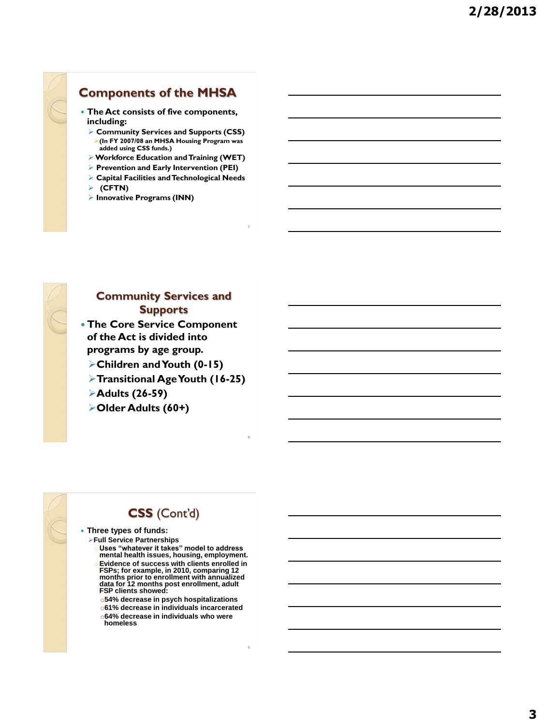**including:**

**(CFTN)**

**Innovative Programs (INN)**

## **Community Services and Supports**

**Components of the MHSA The Act consists of five components,** 

 **Community Services and Supports (CSS) (In FY 2007/08 an MHSA Housing Program was added using CSS funds.) Workforce Education and Training (WET) Prevention and Early Intervention (PEI) Capital Facilities and Technological Needs**

- **The Core Service Component of the Act is divided into programs by age group.** 
	- **Children and Youth (0-15)**
	- **Transitional Age Youth (16-25)**

**8**

**9**

- **Adults (26-59)**
- **Older Adults (60+)**

# **CSS** (Cont'd)

- **Three types of funds:**
	- **Full Service Partnerships** 
		- o **Uses "whatever it takes" model to address mental health issues, housing, employment. Evidence of success with clients enrolled in**
		- **FSPs; for example, in 2010, comparing 12 months prior to enrollment with annualized data for 12 months post enrollment, adult FSP clients showed:**
		- o**54% decrease in psych hospitalizations**
		- o**61% decrease in individuals incarcerated**
		- o**64% decrease in individuals who were homeless**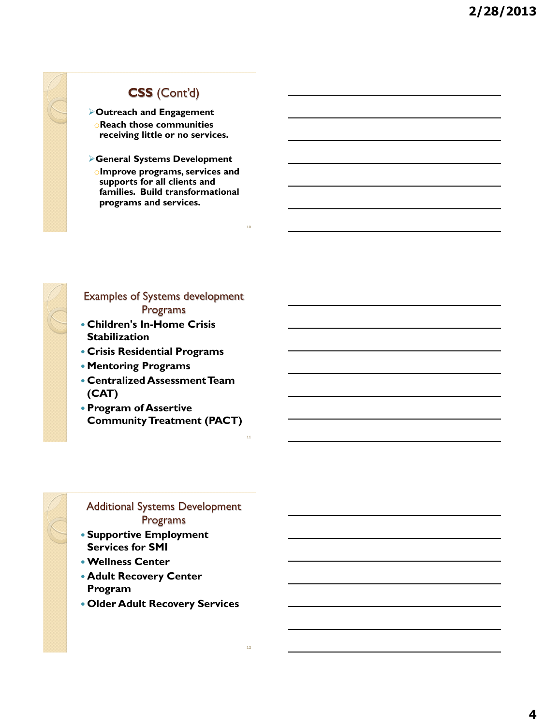## **CSS** (Cont'd)

**Outreach and Engagement**  o**Reach those communities receiving little or no services.**

**General Systems Development** o**Improve programs, services and supports for all clients and families. Build transformational programs and services.**

**10**

**11**

**12**



### Examples of Systems development Programs

- **Children's In-Home Crisis Stabilization**
- **Crisis Residential Programs**
- **Mentoring Programs**
- **Centralized Assessment Team (CAT)**
- **Program of Assertive Community Treatment (PACT)**

## Additional Systems Development Programs

- **Supportive Employment Services for SMI**
- **Wellness Center**
- **Adult Recovery Center Program**
- **Older Adult Recovery Services**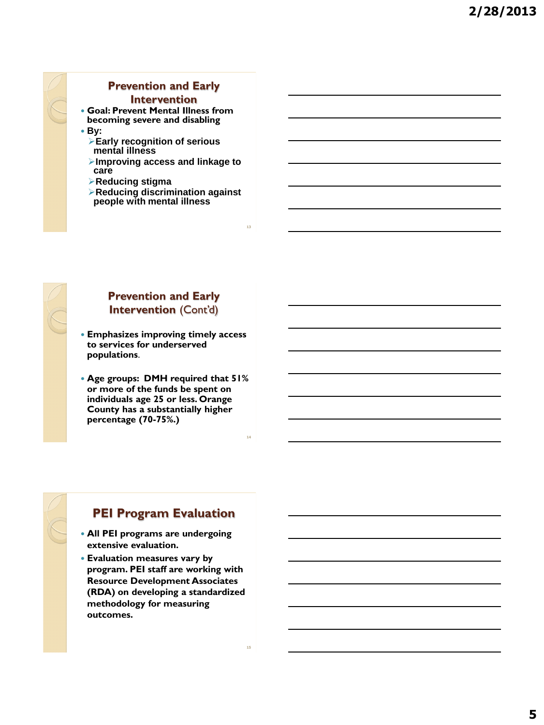

# **Prevention and Early**

### **Intervention**

 **Goal: Prevent Mental Illness from becoming severe and disabling**

- **By:**
	- **Early recognition of serious mental illness**
	- **Improving access and linkage to care**
	- **Reducing stigma**
	- **Reducing discrimination against people with mental illness**



### **Prevention and Early Intervention** (Cont'd)

 **Emphasizes improving timely access to services for underserved populations**.

 **Age groups: DMH required that 51% or more of the funds be spent on individuals age 25 or less. Orange County has a substantially higher percentage (70-75%.)**



## **PEI Program Evaluation**

- **All PEI programs are undergoing extensive evaluation.**
- **Evaluation measures vary by program. PEI staff are working with Resource Development Associates (RDA) on developing a standardized methodology for measuring outcomes.**

**13**

**14**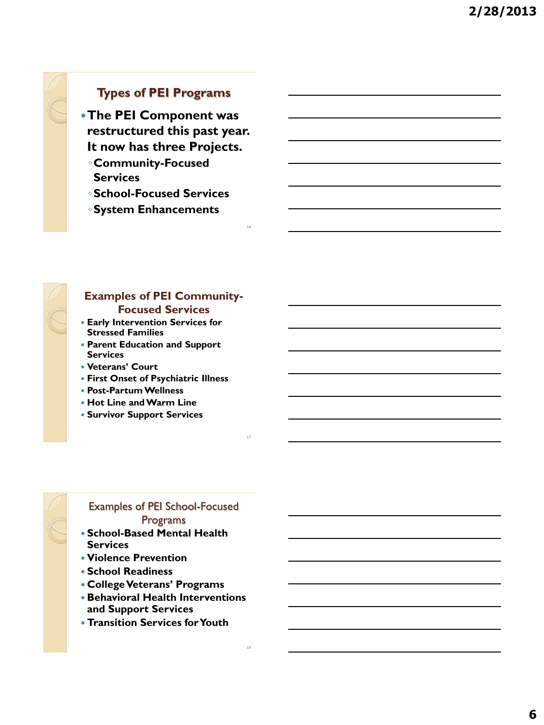## **Types of PEI Programs**

**The PEI Component was restructured this past year. It now has three Projects.**

- ◦**Community-Focused Services**
- ◦**School-Focused Services**

**16**

**18**

◦**System Enhancements**



### **Examples of PEI Community-Focused Services**

- **Early Intervention Services for Stressed Families**
- **Parent Education and Support Services**
- **Veterans' Court**
- **First Onset of Psychiatric Illness**
- **Post-Partum Wellness**
- **Hot Line and Warm Line**
- **Survivor Support Services**

## Examples of PEI School-Focused Programs

- **School-Based Mental Health Services**
- **Violence Prevention**
- **School Readiness**
- **College Veterans' Programs**
- **Behavioral Health Interventions and Support Services**
- **Transition Services for Youth**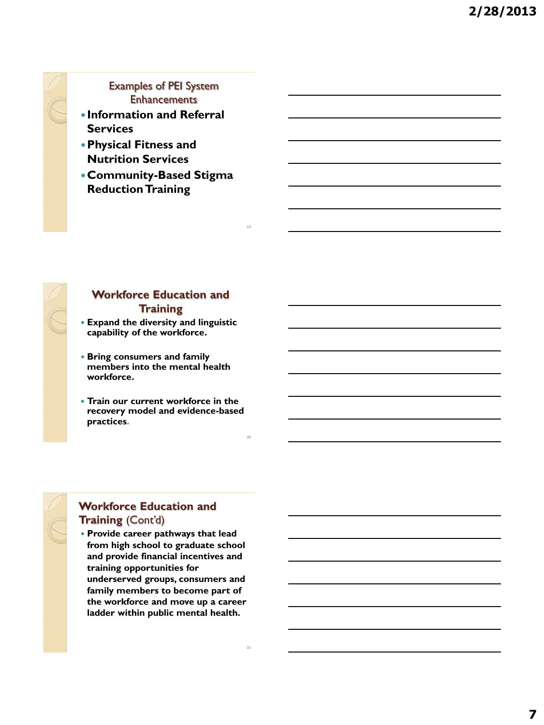### Examples of PEI System **Enhancements**

- **Information and Referral Services**
- **Physical Fitness and Nutrition Services**
- **Community-Based Stigma Reduction Training**



### **Workforce Education and Training**

- **Expand the diversity and linguistic capability of the workforce.**
- **Bring consumers and family members into the mental health workforce.**
- **Train our current workforce in the recovery model and evidence-based practices.**

## **Workforce Education and Training** (Cont'd)

 **Provide career pathways that lead from high school to graduate school and provide financial incentives and training opportunities for underserved groups, consumers and family members to become part of the workforce and move up a career ladder within public mental health.**

**19**

**20**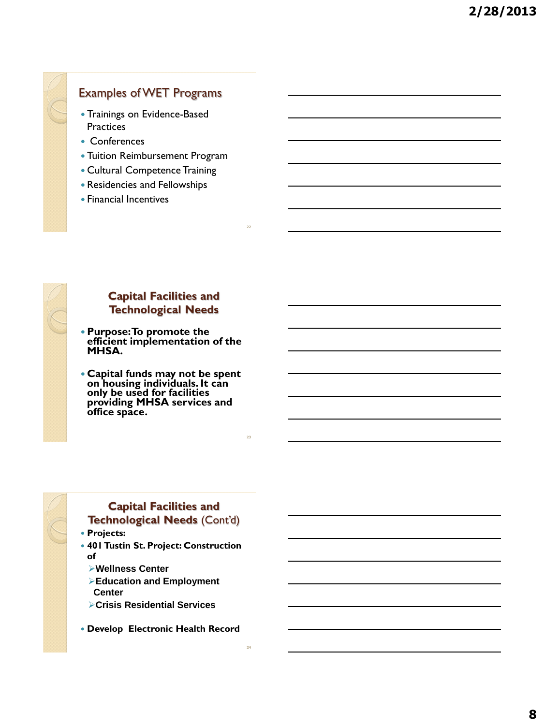# **Capital Facilities and Technological Needs Purpose: To promote the efficient implementation of the MHSA.**

 **Capital funds may not be spent on housing individuals. It can only be used for facilities providing MHSA services and office space.**

Examples of WET Programs

 Tuition Reimbursement Program Cultural Competence Training Residencies and Fellowships

**22**

**23**

**24**

Trainings on Evidence-Based

**Practices** • Conferences

Financial Incentives



### **Capital Facilities and Technological Needs** (Cont'd)

- **Projects:**
- **401 Tustin St. Project: Construction of**
	- **Wellness Center**
	- **Education and Employment Center**
	- **Crisis Residential Services**
- **Develop Electronic Health Record**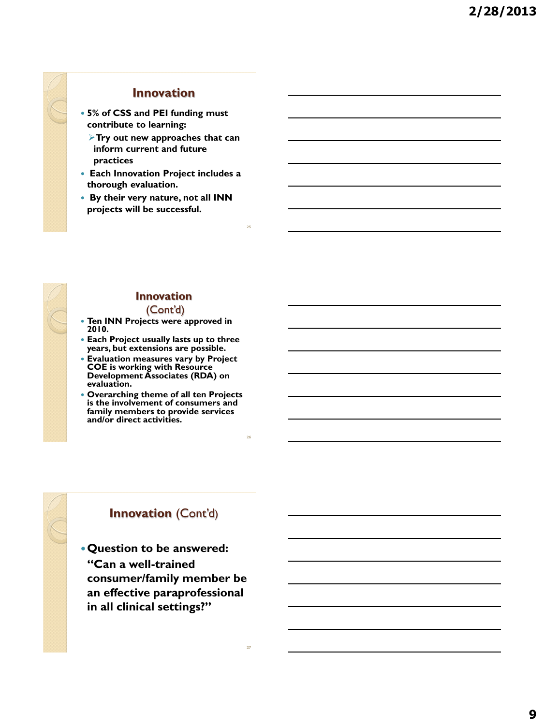## **Innovation**

- **5% of CSS and PEI funding must contribute to learning:**
	- **Try out new approaches that can inform current and future practices**
- **Each Innovation Project includes a thorough evaluation.**
- **By their very nature, not all INN projects will be successful.**

**25**

**26**

**27**

### **Innovation**  (Cont'd)

- **Ten INN Projects were approved in 2010.**
- **Each Project usually lasts up to three years, but extensions are possible.**
- **Evaluation measures vary by Project COE is working with Resource Development Associates (RDA) on evaluation.**
- **Overarching theme of all ten Projects is the involvement of consumers and family members to provide services and/or direct activities.**

## **Innovation** (Cont'd)

**Question to be answered: "Can a well-trained consumer/family member be an effective paraprofessional in all clinical settings?"**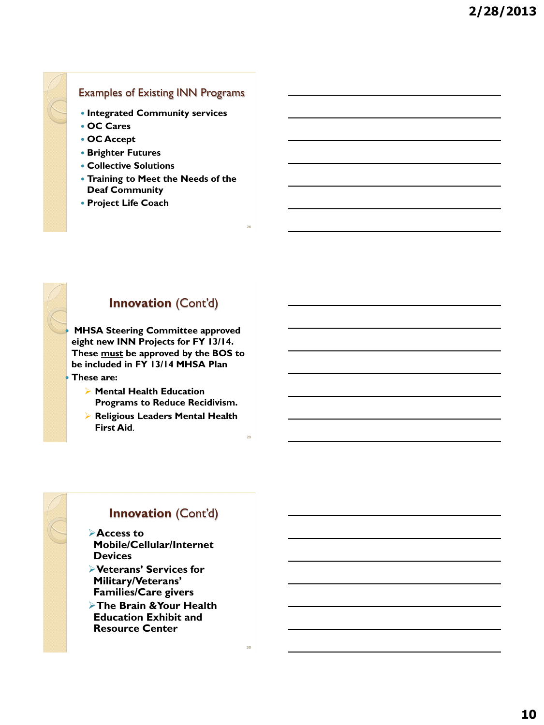## Examples of Existing INN Programs

- **Integrated Community services**
- **OC Cares**
- **OC Accept**
- **Brighter Futures**
- **Collective Solutions**
- **Training to Meet the Needs of the Deaf Community**

**28**

**29**

**30**

**Project Life Coach**

## **Innovation** (Cont'd)

 **MHSA Steering Committee approved eight new INN Projects for FY 13/14. These must be approved by the BOS to be included in FY 13/14 MHSA Plan These are:**

- **Mental Health Education Programs to Reduce Recidivism.**
- **Religious Leaders Mental Health First Aid**.

## **Innovation** (Cont'd)

- **Access to Mobile/Cellular/Internet Devices**
- **Veterans' Services for Military/Veterans' Families/Care givers**
- **The Brain &Your Health Education Exhibit and Resource Center**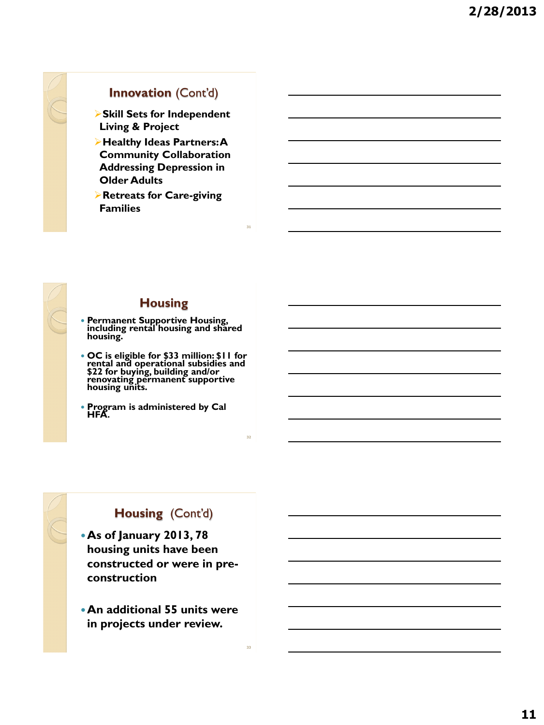# **Innovation** (Cont'd)

**Skill Sets for Independent Living & Project**

**Healthy Ideas Partners: A Community Collaboration Addressing Depression in Older Adults**

**Retreats for Care-giving Families**

**31**

**32**

**33**



### **Housing**

- **Permanent Supportive Housing, including rental housing and shared housing.**
- **OC is eligible for \$33 million: \$11 for rental and operational subsidies and \$22 for buying, building and/or renovating permanent supportive housing units.**
- **Program is administered by Cal HFA.**

# **Housing** (Cont'd)

- **As of January 2013, 78 housing units have been constructed or were in preconstruction**
- **An additional 55 units were in projects under review.**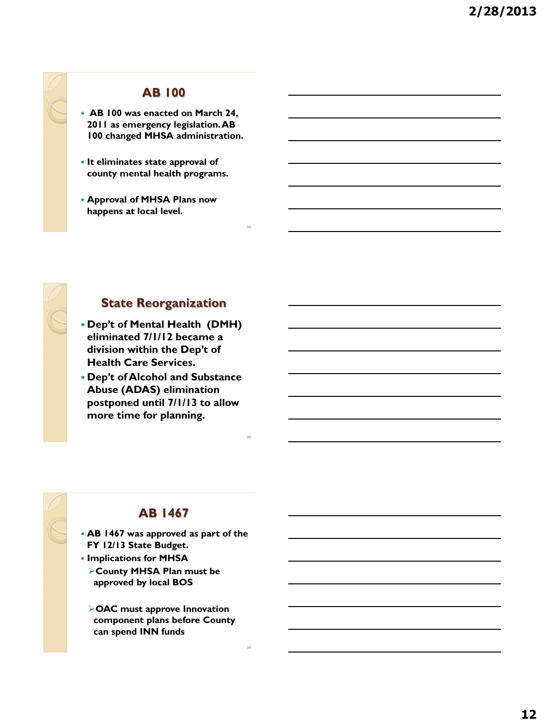## **AB 100**

- **AB 100 was enacted on March 24, 2011 as emergency legislation. AB 100 changed MHSA administration.**
- **It eliminates state approval of county mental health programs.**
- **Approval of MHSA Plans now happens at local level.**



### **State Reorganization**

**34**

**35**

**36**

- **Dep't of Mental Health (DMH) eliminated 7/1/12 became a division within the Dep't of Health Care Services.**
- **Dep't of Alcohol and Substance Abuse (ADAS) elimination postponed until 7/1/13 to allow more time for planning.**



## **AB 1467**

- **AB 1467 was approved as part of the FY 12/13 State Budget.**
- **Implications for MHSA County MHSA Plan must be approved by local BOS**
	- **OAC must approve Innovation component plans before County can spend INN funds**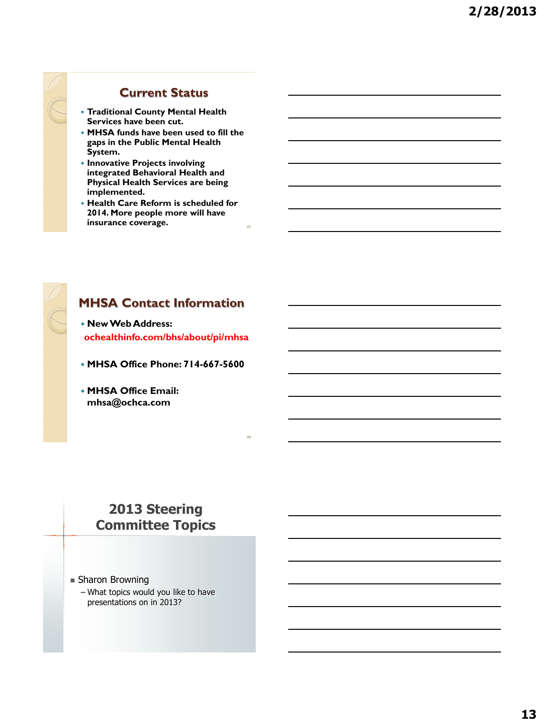### **Current Status**

- **Traditional County Mental Health Services have been cut.**
- **MHSA funds have been used to fill the gaps in the Public Mental Health System.**
- **Innovative Projects involving integrated Behavioral Health and Physical Health Services are being implemented.**
- **Health Care Reform is scheduled for 2014. More people more will have insurance coverage.**

**37**

**38**

## **MHSA Contact Information**

 **New Web Address: ochealthinfo.com/bhs/about/pi/mhsa**

- **MHSA Office Phone: 714-667-5600**
- **MHSA Office Email: mhsa@ochca.com**

# **2013 Steering Committee Topics**

- Sharon Browning
	- What topics would you like to have presentations on in 2013?